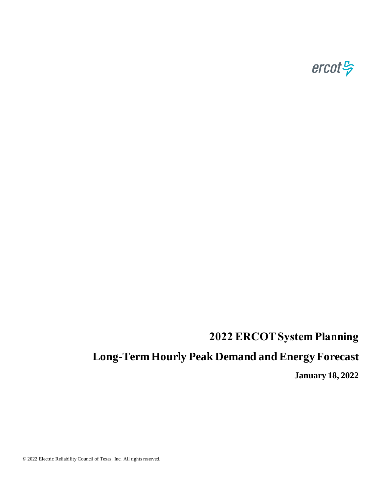

# **2022 ERCOT System Planning**

# **Long-Term Hourly Peak Demand and Energy Forecast**

**January 18, 2022**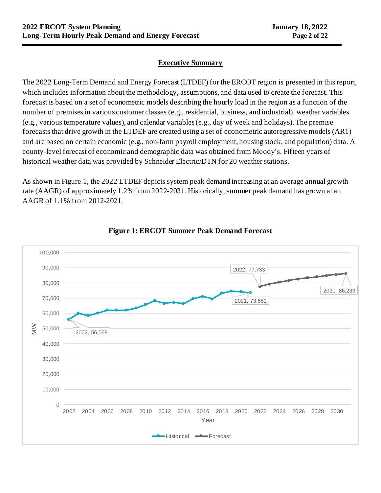## **Executive Summary**

The 2022 Long-Term Demand and Energy Forecast (LTDEF) for the ERCOT region is presented in this report, which includes information about the methodology, assumptions, and data used to create the forecast. This forecast is based on a set of econometric models describing the hourly load in the region as a function of the number of premises in various customer classes (e.g., residential, business, and industrial), weather variables (e.g., various temperature values), and calendar variables (e.g., day of week and holidays). The premise forecasts that drive growth in the LTDEF are created using a set of econometric autoregressive models (AR1) and are based on certain economic (e.g., non-farm payroll employment, housing stock, and population) data. A county-level forecast of economic and demographic data was obtained from Moody's. Fifteen years of historical weather data was provided by Schneider Electric/DTN for 20 weather stations.

As shown in Figure 1, the 2022 LTDEF depicts system peak demand increasing at an average annual growth rate (AAGR) of approximately 1.2% from 2022-2031. Historically, summer peak demand has grown at an AAGR of 1.1% from 2012-2021.



#### **Figure 1: ERCOT Summer Peak Demand Forecast**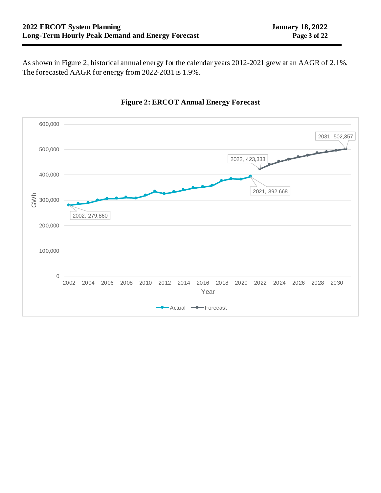As shown in Figure 2, historical annual energy for the calendar years 2012-2021 grew at an AAGR of 2.1%. The forecasted AAGR for energy from 2022-2031 is 1.9%.



## **Figure 2: ERCOT Annual Energy Forecast**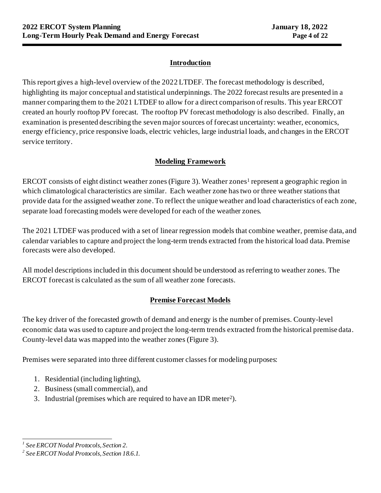## **Introduction**

This report gives a high-level overview of the 2022 LTDEF. The forecast methodology is described, highlighting its major conceptual and statistical underpinnings. The 2022 forecast results are presented in a manner comparing them to the 2021 LTDEF to allow for a direct comparison of results. This year ERCOT created an hourly rooftop PV forecast. The rooftop PV forecast methodology is also described. Finally, an examination is presented describing the seven major sources of forecast uncertainty: weather, economics, energy efficiency, price responsive loads, electric vehicles, large industrial loads, and changes in the ERCOT service territory.

## **Modeling Framework**

ERCOT consists of eight distinct weather zones (Figure 3). Weather zones<sup>1</sup> represent a geographic region in which climatological characteristics are similar. Each weather zone has two or three weather stations that provide data for the assigned weather zone. To reflect the unique weather and load characteristics of each zone, separate load forecasting models were developed for each of the weather zones.

The 2021 LTDEF was produced with a set of linear regression models that combine weather, premise data, and calendar variables to capture and project the long-term trends extracted from the historical load data. Premise forecasts were also developed.

All model descriptions included in this document should be understood as referring to weather zones. The ERCOT forecast is calculated as the sum of all weather zone forecasts.

## **Premise Forecast Models**

The key driver of the forecasted growth of demand and energy is the number of premises. County-level economic data was used to capture and project the long-term trends extracted from the historical premise data. County-level data was mapped into the weather zones (Figure 3).

Premises were separated into three different customer classes for modeling purposes:

- 1. Residential (including lighting),
- 2. Business (small commercial), and
- 3. Industrial (premises which are required to have an IDR meter<sup>2</sup> ).

*<sup>1</sup> See ERCOT Nodal Protocols, Section 2.*

*<sup>2</sup> See ERCOT Nodal Protocols, Section 18.6.1.*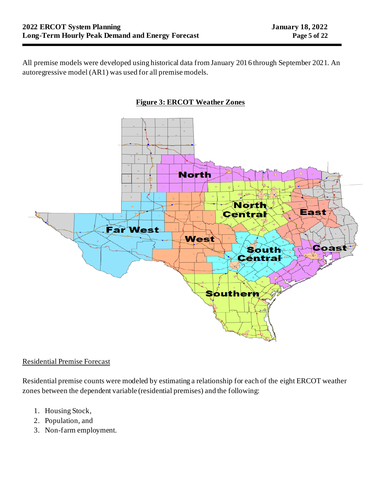All premise models were developed using historical data from January 2016 through September 2021. An autoregressive model (AR1) was used for all premise models.



### Residential Premise Forecast

Residential premise counts were modeled by estimating a relationship for each of the eight ERCOT weather zones between the dependent variable (residential premises) and the following:

- 1. Housing Stock,
- 2. Population, and
- 3. Non-farm employment.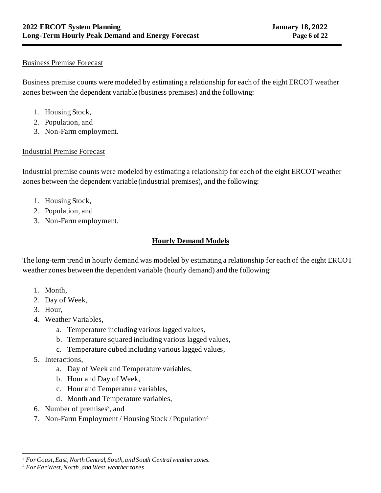## Business Premise Forecast

Business premise counts were modeled by estimating a relationship for each of the eight ERCOT weather zones between the dependent variable (business premises) and the following:

- 1. Housing Stock,
- 2. Population, and
- 3. Non-Farm employment.

## Industrial Premise Forecast

Industrial premise counts were modeled by estimating a relationship for each of the eight ERCOT weather zones between the dependent variable (industrial premises), and the following:

- 1. Housing Stock,
- 2. Population, and
- 3. Non-Farm employment.

# **Hourly Demand Models**

The long-term trend in hourly demand was modeled by estimating a relationship for each of the eight ERCOT weather zones between the dependent variable (hourly demand) and the following:

- 1. Month,
- 2. Day of Week,
- 3. Hour,
- 4. Weather Variables,
	- a. Temperature including various lagged values,
	- b. Temperature squared including various lagged values,
	- c. Temperature cubed including various lagged values,
- 5. Interactions,
	- a. Day of Week and Temperature variables,
	- b. Hour and Day of Week,
	- c. Hour and Temperature variables,
	- d. Month and Temperature variables,
- 6. Number of premises<sup>3</sup>, and
- 7. Non-Farm Employment / Housing Stock / Population<sup>4</sup>

<sup>3</sup> *For Coast, East, North Central, South, and South Central weather zones.*

<sup>4</sup> *For Far West, North, and West weather zones.*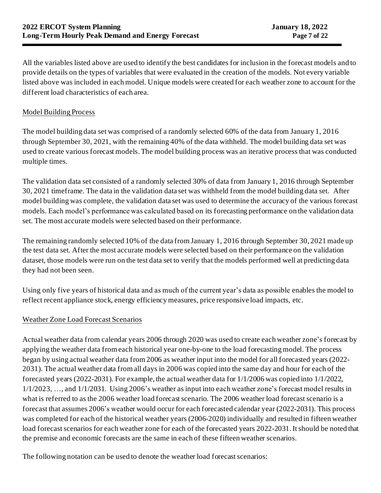All the variables listed above are used to identify the best candidates for inclusion in the forecast models and to provide details on the types of variables that were evaluated in the creation of the models. Not every variable listed above was included in each model. Unique models were created for each weather zone to account for the different load characteristics of each area.

## Model Building Process

The model building data set was comprised of a randomly selected 60% of the data from January 1, 2016 through September 30, 2021, with the remaining 40% of the data withheld. The model building data set was used to create various forecast models. The model building process was an iterative process that was conducted multiple times.

The validation data set consisted of a randomly selected 30% of data from January 1, 2016 through September 30, 2021 timeframe. The data in the validation data set was withheld from the model building data set. After model building was complete, the validation data set was used to determine the accuracy of the various forecast models. Each model's performance was calculated based on its forecasting performance on the validation data set. The most accurate models were selected based on their performance.

The remaining randomly selected 10% of the data from January 1, 2016 through September 30, 2021 made up the test data set. After the most accurate models were selected based on their performance on the validation dataset, those models were run on the test data set to verify that the models performed well at predicting data they had not been seen.

Using only five years of historical data and as much of the current year's data as possible enables the model to reflect recent appliance stock, energy efficiency measures, price responsive load impacts, etc.

#### Weather Zone Load Forecast Scenarios

Actual weather data from calendar years 2006 through 2020 was used to create each weather zone's forecast by applying the weather data from each historical year one-by-one to the load forecasting model. The process began by using actual weather data from 2006 as weather input into the model for all forecasted years (2022- 2031). The actual weather data from all days in 2006 was copied into the same day and hour for each of the forecasted years (2022-2031). For example, the actual weather data for 1/1/2006 was copied into 1/1/2022, 1/1/2023, …, and 1/1/2031. Using 2006's weather as input into each weather zone's forecast model results in what is referred to as the 2006 weather load forecast scenario. The 2006 weather load forecast scenario is a forecast that assumes 2006's weather would occur for each forecasted calendar year (2022-2031). This process was completed for each of the historical weather years (2006-2020) individually and resulted in fifteen weather load forecast scenarios for each weather zone for each of the forecasted years 2022-2031. It should be noted that the premise and economic forecasts are the same in each of these fifteen weather scenarios.

The following notation can be used to denote the weather load forecast scenarios: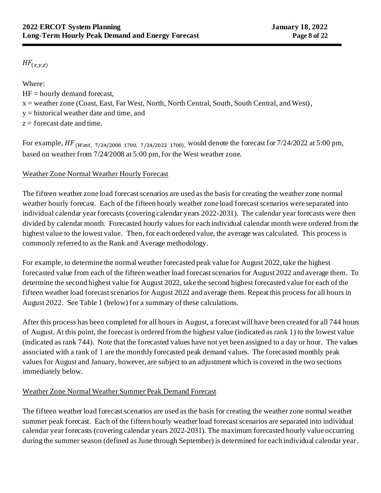# $HF_{(x,y,z)}$

Where:

 $HF =$  hourly demand forecast,

 $x =$  weather zone (Coast, East, Far West, North, North Central, South, South Central, and West),

y = historical weather date and time, and

 $z =$  forecast date and time.

For example,  $HF_{(West, 7/24/2008 1700, 7/24/2022 1700)}$ , would denote the forecast for 7/24/2022 at 5:00 pm, based on weather from 7/24/2008 at 5:00 pm,for the West weather zone.

# Weather Zone Normal Weather Hourly Forecast

The fifteen weather zone load forecast scenarios are used as the basis for creating the weather zone normal weather hourly forecast. Each of the fifteen hourly weather zone load forecast scenarios were separated into individual calendar year forecasts (covering calendar years 2022-2031). The calendar year forecasts were then divided by calendar month. Forecasted hourly values for each individual calendar month were ordered from the highest value to the lowest value. Then, for each ordered value, the average was calculated. This process is commonly referred to as the Rank and Average methodology.

For example, to determine the normal weather forecasted peak value for August 2022, take the highest forecasted value from each of the fifteen weather load forecast scenarios for August 2022 and average them. To determine the second highest value for August 2022, take the second highest forecasted value for each of the fifteen weather load forecast scenarios for August 2022 and average them. Repeat this process for all hours in August 2022. See Table 1 (below) for a summary of these calculations.

After this process has been completed for all hours in August, a forecast will have been created for all 744 hours of August. At this point, the forecast is ordered from the highest value (indicated as rank 1) to the lowest value (indicated as rank 744). Note that the forecasted values have not yet been assigned to a day or hour. The values associated with a rank of 1 are the monthly forecasted peak demand values. The forecasted monthly peak values for August and January, however, are subject to an adjustment which is covered in the two sections immediately below.

# Weather Zone Normal Weather Summer Peak Demand Forecast

The fifteen weather load forecast scenarios are used as the basis for creating the weather zone normal weather summer peak forecast. Each of the fifteen hourly weather load forecast scenarios are separated into individual calendar year forecasts (covering calendar years 2022-2031). The maximum forecasted hourly value occurring during the summer season (defined as June through September) is determined for each individual calendar year.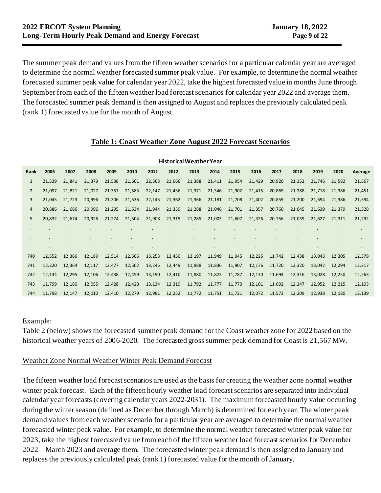The summer peak demand values from the fifteen weather scenarios for a particular calendar year are averaged to determine the normal weather forecasted summer peak value. For example, to determine the normal weather forecasted summer peak value for calendar year 2022, take the highest forecasted value in months June through September from each of the fifteen weather load forecast scenarios for calendar year 2022 and average them. The forecasted summer peak demand is then assigned to August and replaces the previously calculated peak (rank 1) forecasted value for the month of August.

### **Table 1: Coast Weather Zone August 2022 Forecast Scenarios**

|              |        |        |        |        |        |        |        | <b>Historical Weather Year</b> |               |        |        |        |        |        |        |         |
|--------------|--------|--------|--------|--------|--------|--------|--------|--------------------------------|---------------|--------|--------|--------|--------|--------|--------|---------|
| Rank         | 2006   | 2007   | 2008   | 2009   | 2010   | 2011   | 2012   | 2013                           | 2014          | 2015   | 2016   | 2017   | 2018   | 2019   | 2020   | Average |
| $\mathbf{1}$ | 21,339 | 21,841 | 21,379 | 21,538 | 21,601 | 22,363 | 21,666 | 21,388                         | 21,411        | 21,954 | 21,429 | 20,920 | 21,352 | 21,746 | 21,582 | 21,567  |
| 2            | 21,097 | 21,821 | 21,027 | 21,357 | 21,583 | 22,147 | 21,436 | 21,371                         | 21,346        | 21,902 | 21,415 | 20,865 | 21,288 | 21,718 | 21,386 | 21,451  |
| 3            | 21,045 | 21,723 | 20,996 | 21,306 | 21,536 | 22,145 | 21,362 | 21,366                         | 21,181        | 21,708 | 21,402 | 20,859 | 21,200 | 21,694 | 21,386 | 21,394  |
| 4            | 20,886 | 21,686 | 20,996 | 21,295 | 21,534 | 21,944 | 21,359 | 21,288                         | 21,046        | 21,701 | 21,357 | 20,760 | 21,045 | 21,639 | 21,379 | 21,328  |
| 5            | 20,832 | 21,674 | 20,926 | 21,274 | 21,504 | 21,908 | 21,315 | 21,285                         | 21,003        | 21,607 | 21,326 | 20,756 | 21,039 | 21,627 | 21,311 | 21,292  |
|              |        |        |        |        |        |        |        |                                |               |        |        |        |        |        |        |         |
|              |        |        |        |        |        |        |        |                                |               |        |        |        |        |        |        |         |
|              |        |        |        |        |        |        |        |                                |               |        |        |        |        |        |        |         |
| 740          | 12,552 | 12,366 | 12,189 | 12,514 | 12,506 | 13,253 | 12,450 | 12,197                         | 11,949        | 11,945 | 12,225 | 11,742 | 12,438 | 13,043 | 12,305 | 12,378  |
| 741          | 12,320 | 12,364 | 12,117 | 12,477 | 12,502 | 13,245 | 12,449 | 11,988                         | 11,836        | 11,907 | 12,176 | 11,720 | 12,320 | 13,042 | 12,294 | 12,317  |
| 742          | 12,134 | 12,295 | 12,106 | 12,438 | 12,459 | 13,190 | 12,410 | 11,880                         | 11,823        | 11,787 | 12,130 | 11,694 | 12,316 | 13,028 | 12,250 | 12,263  |
| 743          | 11,799 | 12,180 | 12,055 | 12,428 | 12,428 | 13,134 | 12,319 | 11,792                         | 11,777        | 11,770 | 12,101 | 11,692 | 12,247 | 12,952 | 12,215 | 12,193  |
| 744          | 11,798 | 12,147 | 12,010 | 12,410 | 12,279 | 12,981 | 12,252 |                                | 11,772 11,751 | 11,721 | 12,072 | 11,573 | 12,209 | 12,938 | 12,180 | 12,139  |

#### Example:

Table 2 (below) shows the forecasted summer peak demand for the Coast weather zone for 2022 based on the historical weather years of 2006-2020. The forecasted gross summer peak demand for Coast is 21,567 MW.

#### Weather Zone Normal Weather Winter Peak Demand Forecast

The fifteen weather load forecast scenarios are used as the basis for creating the weather zone normal weather winter peak forecast. Each of the fifteen hourly weather load forecast scenarios are separated into individual calendar year forecasts (covering calendar years 2022-2031). The maximum forecasted hourly value occurring during the winter season (defined as December through March) is determined for each year. The winter peak demand values from each weather scenario for a particular year are averaged to determine the normal weather forecasted winter peak value. For example, to determine the normal weather forecasted winter peak value for 2023, take the highest forecasted value from each of the fifteen weather load forecast scenarios for December 2022 – March 2023 and average them. The forecasted winter peak demand is then assigned to January and replaces the previously calculated peak (rank 1) forecasted value for the month of January.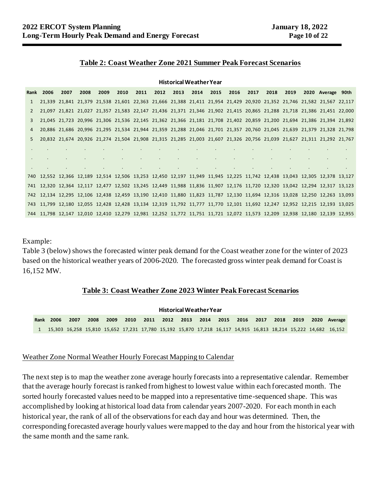#### **Table 2: Coast Weather Zone 2021 Summer Peak Forecast Scenarios**

**Historical Weather Year**

|              |                  |      |      |      |      |                          |                          | Historical Weather Year                      |           |                                   |        |                          |                          |            |                          |                                                                                                                            |  |
|--------------|------------------|------|------|------|------|--------------------------|--------------------------|----------------------------------------------|-----------|-----------------------------------|--------|--------------------------|--------------------------|------------|--------------------------|----------------------------------------------------------------------------------------------------------------------------|--|
|              | <b>Rank 2006</b> | 2007 | 2008 | 2009 | 2010 | 2011                     | 2012                     | 2013                                         | 2014      | 2015                              | 2016   | 2017                     | 2018                     | 2019       |                          | 2020 Average 90th                                                                                                          |  |
| $\mathbf{1}$ |                  |      |      |      |      |                          |                          |                                              |           |                                   |        |                          |                          |            |                          | 21,339 21,841 21,379 21,538 21,601 22,363 21,666 21,388 21,411 21,954 21,429 20,920 21,352 21,746 21,582 21,567 22,117     |  |
| 2            |                  |      |      |      |      |                          |                          |                                              |           |                                   |        |                          |                          |            |                          | 21,097 21,821 21,027 21,357 21,583 22,147 21,436 21,371 21,346 21,902 21,415 20,865 21,288 21,718 21,386 21,451 22,000     |  |
| 3            |                  |      |      |      |      |                          |                          |                                              |           |                                   |        |                          |                          |            |                          | 21,045 21,723 20,996 21,306 21,536 22,145 21,362 21,366 21,181 21,708 21,402 20,859 21,200 21,694 21,386 21,394 21,892     |  |
| 4            |                  |      |      |      |      |                          |                          |                                              |           |                                   |        |                          |                          |            |                          | 20,886 21,686 20,996 21,295 21,534 21,944 21,359 21,288 21,046 21,701 21,357 20,760 21,045 21,639 21,379 21,328 21,798     |  |
| 5.           |                  |      |      |      |      |                          |                          |                                              |           |                                   |        |                          |                          |            |                          | 20,832 21,674 20,926 21,274 21,504 21,908 21,315 21,285 21,003 21,607 21,326 20,756 21,039 21,627 21,311 21,292 21,767     |  |
|              |                  |      |      |      |      |                          | <b>Contract Contract</b> |                                              |           |                                   |        |                          |                          |            |                          |                                                                                                                            |  |
|              |                  |      |      |      |      |                          | $\sim$                   | $\bullet$                                    | $\bullet$ | <b>All Control</b>                | $\sim$ | $\sim$                   |                          |            |                          |                                                                                                                            |  |
|              |                  |      |      |      |      | <b>Contract Contract</b> |                          | the control of the control of the control of |           | the control of the control of the |        | <b>Contract Contract</b> | <b>Contract Contract</b> | $\sim 100$ | <b>Contract Contract</b> | <b>Contract</b>                                                                                                            |  |
|              |                  |      |      |      |      |                          |                          |                                              |           |                                   |        |                          |                          |            |                          | 740 12,552 12,366 12,189 12,514 12,506 13,253 12,450 12,197 11,949 11,945 12,225 11,742 12,438 13,043 12,305 12,378 13,127 |  |
|              |                  |      |      |      |      |                          |                          |                                              |           |                                   |        |                          |                          |            |                          | 741 12,320 12,364 12,117 12,477 12,502 13,245 12,449 11,988 11,836 11,907 12,176 11,720 12,320 13,042 12,294 12,317 13,123 |  |
|              |                  |      |      |      |      |                          |                          |                                              |           |                                   |        |                          |                          |            |                          | 742 12,134 12,295 12,106 12,438 12,459 13,190 12,410 11,880 11,823 11,787 12,130 11,694 12,316 13,028 12,250 12,263 13,093 |  |
|              |                  |      |      |      |      |                          |                          |                                              |           |                                   |        |                          |                          |            |                          | 743 11,799 12,180 12,055 12,428 12,428 13,134 12,319 11,792 11,777 11,770 12,101 11,692 12,247 12,952 12,215 12,193 13,025 |  |
|              |                  |      |      |      |      |                          |                          |                                              |           |                                   |        |                          |                          |            |                          | 744 11,798 12,147 12,010 12,410 12,279 12,981 12,252 11,772 11,751 11,721 12,072 11,573 12,209 12,938 12,180 12,139 12,955 |  |

Example:

Table 3 (below) shows the forecasted winter peak demand for the Coast weather zone for the winter of 2023 based on the historical weather years of 2006-2020. The forecasted gross winter peak demand for Coast is 16,152 MW.

#### **Table 3: Coast Weather Zone 2023 Winter Peak Forecast Scenarios**

|      |       |      |      |       |         |      | <b>Historical Weather Year</b> |  |        |                    |      |      |                                                                                                                   |
|------|-------|------|------|-------|---------|------|--------------------------------|--|--------|--------------------|------|------|-------------------------------------------------------------------------------------------------------------------|
| Rank | -2006 | 2007 | 2008 | -2009 | $-2010$ | 2011 | 2012 2013 2014 2015            |  | - 2016 | $\sim$ 2017 $\sim$ | 2018 | 2019 | 2020 Average                                                                                                      |
|      |       |      |      |       |         |      |                                |  |        |                    |      |      | 1 15,303 16,258 15,810 15,652 17,231 17,780 15,192 15,870 17,218 16,117 14,915 16,813 18,214 15,222 14,682 16,152 |

#### Weather Zone Normal Weather Hourly Forecast Mapping to Calendar

The next step is to map the weather zone average hourly forecasts into a representative calendar. Remember that the average hourly forecast is ranked from highest to lowest value within each forecasted month. The sorted hourly forecasted values need to be mapped into a representative time-sequenced shape. This was accomplished by looking at historical load data from calendar years 2007-2020. For each month in each historical year, the rank of all of the observationsfor each day and hour was determined. Then, the corresponding forecasted average hourly values were mapped to the day and hour from the historical year with the same month and the same rank.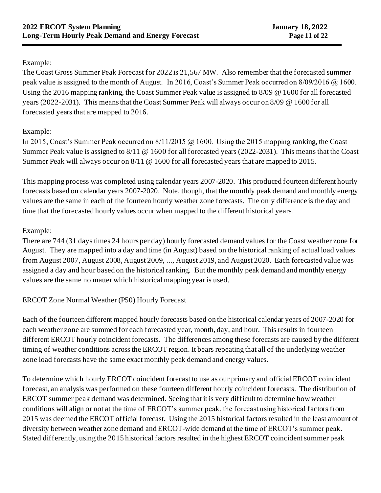## Example:

The Coast Gross Summer Peak Forecast for 2022 is 21,567 MW. Also remember that the forecasted summer peak value is assigned to the month of August. In 2016, Coast's Summer Peak occurred on 8/09/2016 @ 1600. Using the 2016 mapping ranking, the Coast Summer Peak value is assigned to 8/09 @ 1600 for all forecasted years (2022-2031). This means that the Coast Summer Peak will always occur on 8/09 @ 1600 for all forecasted years that are mapped to 2016.

## Example:

In 2015, Coast's Summer Peak occurred on 8/11/2015 @ 1600. Using the 2015 mapping ranking, the Coast Summer Peak value is assigned to 8/11 @ 1600 for all forecasted years (2022-2031). This means that the Coast Summer Peak will always occur on 8/11 @ 1600 for all forecasted years that are mapped to 2015.

This mapping process was completed using calendar years 2007-2020. This produced fourteen different hourly forecasts based on calendar years 2007-2020. Note, though, that the monthly peak demand and monthly energy values are the same in each of the fourteen hourly weather zone forecasts. The only difference is the day and time that the forecasted hourly values occur when mapped to the different historical years.

# Example:

There are 744 (31 days times 24 hours per day) hourly forecasted demand values for the Coast weather zone for August. They are mapped into a day and time (in August) based on the historical ranking of actual load values from August 2007, August 2008, August 2009, ..., August 2019, and August 2020. Each forecasted value was assigned a day and hour based on the historical ranking. But the monthly peak demand and monthly energy values are the same no matter which historical mapping year is used.

# ERCOT Zone Normal Weather (P50) Hourly Forecast

Each of the fourteen different mapped hourly forecasts based on the historical calendar years of 2007-2020 for each weather zone are summed for each forecasted year, month, day, and hour. This results in fourteen different ERCOT hourly coincident forecasts. The differences among these forecasts are caused by the different timing of weather conditions across the ERCOT region. It bears repeating that all of the underlying weather zone load forecasts have the same exact monthly peak demand and energy values.

To determine which hourly ERCOT coincident forecast to use as our primary and official ERCOT coincident forecast, an analysis was performed on these fourteen different hourly coincident forecasts. The distribution of ERCOT summer peak demand was determined. Seeing that it is very difficult to determine how weather conditions will align or not at the time of ERCOT's summer peak, the forecast using historical factors from 2015 was deemed the ERCOT official forecast. Using the 2015 historical factors resulted in the least amount of diversity between weather zone demand and ERCOT-wide demand at the time of ERCOT's summer peak. Stated differently, using the 2015 historical factors resulted in the highest ERCOT coincident summer peak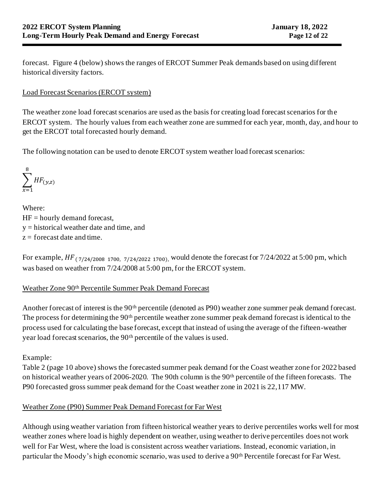forecast. Figure 4 (below) shows the ranges of ERCOT Summer Peak demands based on using different historical diversity factors.

## Load Forecast Scenarios (ERCOT system)

The weather zone load forecast scenarios are used as the basis for creating load forecast scenarios for the ERCOT system. The hourly values from each weather zone are summed for each year, month, day, and hour to get the ERCOT total forecasted hourly demand.

The following notation can be used to denote ERCOT system weather load forecast scenarios:

$$
\sum_{x=1}^{8} HF_{(y,z)}
$$

Where:  $HF =$  hourly demand forecast, y = historical weather date and time, and  $z =$  forecast date and time.

For example,  $HF_{(7/24/2008 1700, 7/24/2022 1700)}$ , would denote the forecast for 7/24/2022 at 5:00 pm, which was based on weather from 7/24/2008 at 5:00 pm, for the ERCOT system.

## Weather Zone 90th Percentile Summer Peak Demand Forecast

Another forecast of interest is the 90<sup>th</sup> percentile (denoted as P90) weather zone summer peak demand forecast. The process for determining the 90<sup>th</sup> percentile weather zone summer peak demand forecast is identical to the process used for calculating the base forecast, except that instead of using the average of the fifteen-weather year load forecast scenarios, the 90th percentile of the values is used.

Example:

Table 2 (page 10 above) shows the forecasted summer peak demand for the Coast weather zone for 2022 based on historical weather years of 2006-2020. The 90th column is the 90th percentile of the fifteen forecasts. The P90 forecasted gross summer peak demand for the Coast weather zone in 2021 is 22,117 MW.

## Weather Zone (P90) Summer Peak Demand Forecast for Far West

Although using weather variation from fifteen historical weather years to derive percentiles works well for most weather zones where load is highly dependent on weather, using weather to derive percentiles does not work well for Far West, where the load is consistent across weather variations. Instead, economic variation, in particular the Moody's high economic scenario, was used to derive a 90th Percentile forecast for Far West.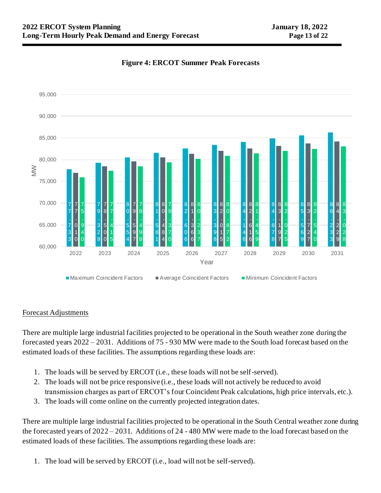

### **Figure 4: ERCOT Summer Peak Forecasts**

#### Forecast Adjustments

There are multiple large industrial facilities projected to be operational in the South weather zone during the forecasted years 2022 – 2031. Additions of 75 - 930 MW were made to the South load forecast based on the estimated loads of these facilities. The assumptions regarding these loads are:

- 1. The loads will be served by ERCOT (i.e., these loads will not be self-served).
- 2. The loads will not be price responsive (i.e., these loads will not actively be reduced to avoid transmission charges as part of ERCOT's four Coincident Peak calculations, high price intervals, etc.).
- 3. The loads will come online on the currently projected integration dates.

There are multiple large industrial facilities projected to be operational in the South Central weather zone during the forecasted years of 2022 – 2031. Additions of 24 - 480 MW were made to the load forecast based on the estimated loads of these facilities. The assumptions regarding these loads are:

1. The load will be served by ERCOT (i.e., load will not be self-served).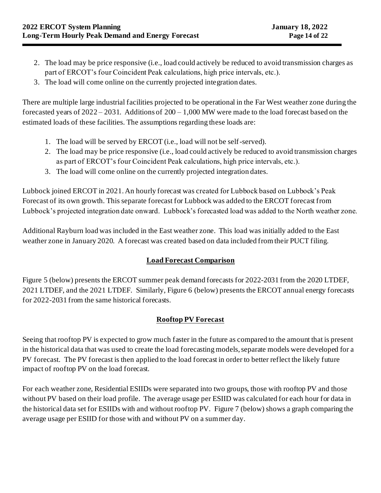- 2. The load may be price responsive (i.e., load could actively be reduced to avoid transmission charges as part of ERCOT's four Coincident Peak calculations, high price intervals, etc.).
- 3. The load will come online on the currently projected integration dates.

There are multiple large industrial facilities projected to be operational in the Far West weather zone during the forecasted years of  $2022 - 2031$ . Additions of  $200 - 1,000$  MW were made to the load forecast based on the estimated loads of these facilities. The assumptions regarding these loads are:

- 1. The load will be served by ERCOT (i.e., load will not be self-served).
- 2. The load may be price responsive (i.e., load could actively be reduced to avoid transmission charges as part of ERCOT's four Coincident Peak calculations, high price intervals, etc.).
- 3. The load will come online on the currently projected integration dates.

Lubbock joined ERCOT in 2021. An hourly forecast was created for Lubbock based on Lubbock's Peak Forecast of its own growth. This separate forecast for Lubbock was added to the ERCOT forecast from Lubbock's projected integration date onward. Lubbock's forecasted load was added to the North weather zone.

Additional Rayburn load was included in the East weather zone. This load was initially added to the East weather zone in January 2020. A forecast was created based on data included from their PUCT filing.

## **Load Forecast Comparison**

Figure 5 (below) presents the ERCOT summer peak demand forecasts for 2022-2031 from the 2020 LTDEF, 2021 LTDEF, and the 2021 LTDEF. Similarly, Figure 6 (below) presents the ERCOT annual energy forecasts for 2022-2031 from the same historical forecasts.

## **Rooftop PV Forecast**

Seeing that rooftop PV is expected to grow much faster in the future as compared to the amount that is present in the historical data that was used to create the load forecasting models, separate models were developed for a PV forecast. The PV forecast is then applied to the load forecast in order to better reflect the likely future impact of rooftop PV on the load forecast.

For each weather zone, Residential ESIIDs were separated into two groups, those with rooftop PV and those without PV based on their load profile. The average usage per ESIID was calculated for each hour for data in the historical data set for ESIIDs with and without rooftop PV. Figure 7 (below) shows a graph comparing the average usage per ESIID for those with and without PV on a summer day.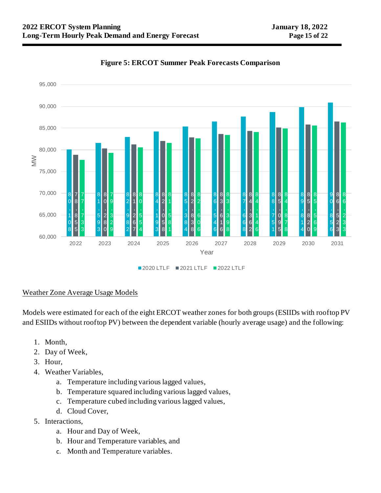

### **Figure 5: ERCOT Summer Peak Forecasts Comparison**

#### Weather Zone Average Usage Models

Models were estimated for each of the eight ERCOT weather zones for both groups (ESIIDs with rooftop PV and ESIIDs without rooftop PV) between the dependent variable (hourly average usage) and the following:

- 1. Month,
- 2. Day of Week,
- 3. Hour,
- 4. Weather Variables,
	- a. Temperature including various lagged values,
	- b. Temperature squared including various lagged values,
	- c. Temperature cubed including various lagged values,
	- d. Cloud Cover,
- 5. Interactions,
	- a. Hour and Day of Week,
	- b. Hour and Temperature variables, and
	- c. Month and Temperature variables.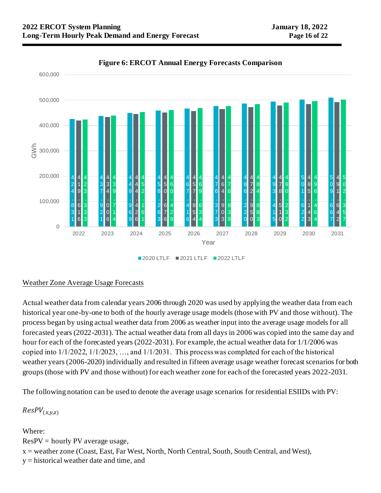

#### **Figure 6: ERCOT Annual Energy Forecasts Comparison**

2020 LTLF 2021 LTLF 2022 LTLF

## Weather Zone Average Usage Forecasts

Actual weather data from calendar years 2006 through 2020 was used by applying the weather data from each historical year one-by-one to both of the hourly average usage models (those with PV and those without). The process began by using actual weather data from 2006 as weather input into the average usage models for all forecasted years (2022-2031). The actual weather data from all days in 2006 was copied into the same day and hour for each of the forecasted years (2022-2031). For example, the actual weather data for 1/1/2006 was copied into 1/1/2022, 1/1/2023, …, and 1/1/2031. This process was completed for each of the historical weather years (2006-2020) individually and resulted in fifteen average usage weather forecast scenarios for both groups (those with PV and those without) for each weather zone for each of the forecasted years 2022-2031.

The following notation can be used to denote the average usage scenarios for residential ESIIDs with PV:

 $ResPV_{(x,y,z)}$ 

Where:

 $ResPV = hour$  PV average usage,

x = weather zone (Coast, East, Far West, North, North Central, South, South Central, and West),

y = historical weather date and time, and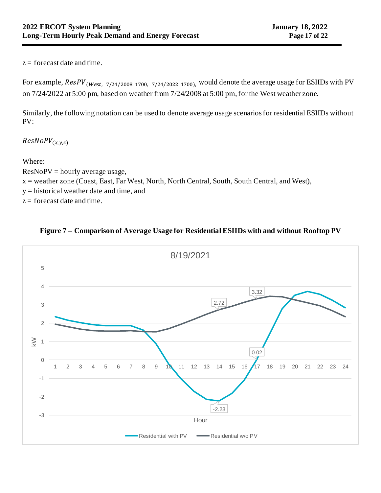$z =$  forecast date and time.

For example,  $ResPV_{(West, 7/24/2008 1700, 7/24/2022 1700)}$ , would denote the average usage for ESIIDs with PV on 7/24/2022 at 5:00 pm, based on weather from 7/24/2008 at 5:00 pm, for the West weather zone.

Similarly, the following notation can be used to denote average usage scenarios for residential ESIIDs without PV:

 $ResNoPV_{(x,y,z)}$ 

Where:

 $ResNoPV = hourly average usage,$ x = weather zone (Coast, East, Far West, North, North Central, South, South Central, and West), y = historical weather date and time, and  $z =$  forecast date and time.



# **Figure 7 – Comparison of Average Usage for Residential ESIIDs with and without Rooftop PV**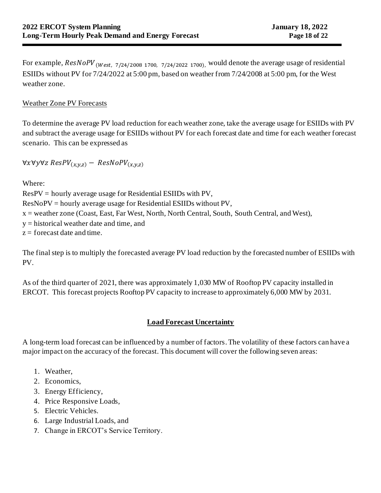For example,  $ResNoPV$  (west, 7/24/2008 1700, 7/24/2022 1700), would denote the average usage of residential ESIIDs without PV for 7/24/2022 at 5:00 pm, based on weather from 7/24/2008 at 5:00 pm, for the West weather zone.

## Weather Zone PV Forecasts

To determine the average PV load reduction for each weather zone, take the average usage for ESIIDs with PV and subtract the average usage for ESIIDs without PV for each forecast date and time for each weather forecast scenario. This can be expressed as

 $\forall x \forall y \forall z$  ResPV<sub>(x,y,z)</sub> – ResNoPV<sub>(x,y,z)</sub>

Where:

ResPV = hourly average usage for Residential ESIIDs with PV, ResNoPV = hourly average usage for Residential ESIIDs without PV,  $x =$  weather zone (Coast, East, Far West, North, North Central, South, South Central, and West), y = historical weather date and time, and  $z =$  forecast date and time.

The final step is to multiply the forecasted average PV load reduction by the forecasted number of ESIIDs with PV.

As of the third quarter of 2021, there was approximately 1,030 MW of Rooftop PV capacity installed in ERCOT. This forecast projects Rooftop PV capacity to increase to approximately 6,000 MW by 2031.

## **Load Forecast Uncertainty**

A long-term load forecast can be influenced by a number of factors. The volatility of these factors can have a major impact on the accuracy of the forecast. This document will cover the following seven areas:

- 1. Weather,
- 2. Economics,
- 3. Energy Efficiency,
- 4. Price Responsive Loads,
- 5. Electric Vehicles.
- 6. Large Industrial Loads, and
- 7. Change in ERCOT's Service Territory.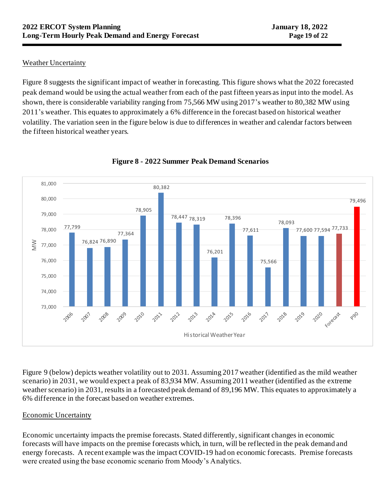## Weather Uncertainty

Figure 8 suggests the significant impact of weather in forecasting. This figure shows what the 2022 forecasted peak demand would be using the actual weather from each of the past fifteen years as input into the model. As shown, there is considerable variability ranging from 75,566 MW using 2017's weather to 80,382 MW using 2011's weather. This equates to approximately a 6% difference in the forecast based on historical weather volatility. The variation seen in the figure below is due to differences in weather and calendar factors between the fifteen historical weather years.



# **Figure 8 - 2022 Summer Peak Demand Scenarios**

Figure 9 (below) depicts weather volatility out to 2031. Assuming 2017 weather (identified as the mild weather scenario) in 2031, we would expect a peak of 83,934 MW. Assuming 2011 weather (identified as the extreme weather scenario) in 2031, results in a forecasted peak demand of 89,196 MW. This equates to approximately a 6% difference in the forecast based on weather extremes.

## Economic Uncertainty

Economic uncertainty impacts the premise forecasts. Stated differently, significant changes in economic forecasts will have impacts on the premise forecasts which, in turn, will be reflected in the peak demand and energy forecasts. A recent example was the impact COVID-19 had on economic forecasts. Premise forecasts were created using the base economic scenario from Moody's Analytics.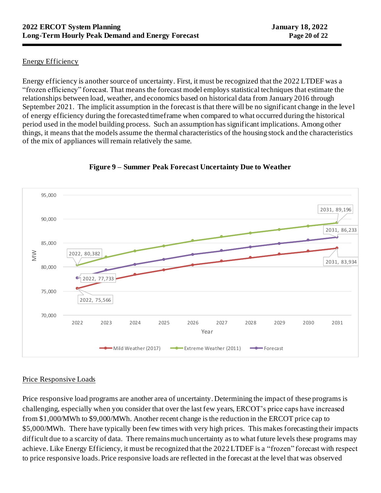## Energy Efficiency

Energy efficiency is another source of uncertainty. First, it must be recognized that the 2022 LTDEF was a "frozen efficiency" forecast. That means the forecast model employs statistical techniques that estimate the relationships between load, weather, and economics based on historical data from January 2016 through September 2021. The implicit assumption in the forecast is that there will be no significant change in the leve l of energy efficiency during the forecasted timeframe when compared to what occurred during the historical period used in the model building process. Such an assumption has significant implications. Among other things, it means that the models assume the thermal characteristics of the housing stock and the characteristics of the mix of appliances will remain relatively the same.



## **Figure 9 – Summer Peak Forecast Uncertainty Due to Weather**

## Price Responsive Loads

Price responsive load programs are another area of uncertainty. Determining the impact of these programs is challenging, especially when you consider that over the last few years, ERCOT's price caps have increased from \$1,000/MWh to \$9,000/MWh. Another recent change is the reduction in the ERCOT price cap to \$5,000/MWh. There have typically been few times with very high prices. This makes forecasting their impacts difficult due to a scarcity of data. There remains much uncertainty as to what future levels these programs may achieve. Like Energy Efficiency, it must be recognized that the 2022 LTDEF is a "frozen" forecast with respect to price responsive loads. Price responsive loads are reflected in the forecast at the level that was observed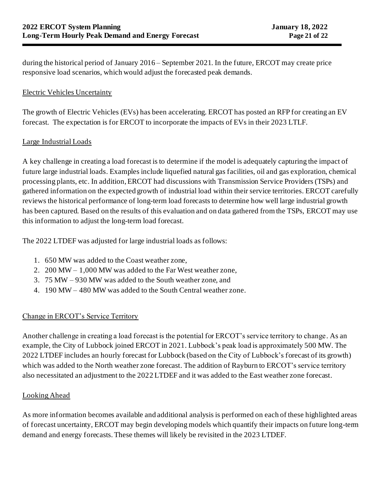during the historical period of January 2016 – September 2021. In the future, ERCOT may create price responsive load scenarios, which would adjust the forecasted peak demands.

## Electric Vehicles Uncertainty

The growth of Electric Vehicles (EVs) has been accelerating. ERCOT has posted an RFP for creating an EV forecast. The expectation is for ERCOT to incorporate the impacts of EVs in their 2023 LTLF.

#### Large Industrial Loads

A key challenge in creating a load forecast is to determine if the model is adequately capturing the impact of future large industrial loads. Examples include liquefied natural gas facilities, oil and gas exploration, chemical processing plants, etc. In addition, ERCOT had discussions with Transmission Service Providers (TSPs) and gathered information on the expected growth of industrial load within their service territories. ERCOT carefully reviews the historical performance of long-term load forecasts to determine how well large industrial growth has been captured. Based on the results of this evaluation and on data gathered from the TSPs, ERCOT may use this information to adjust the long-term load forecast.

The 2022 LTDEF was adjusted for large industrial loads as follows:

- 1. 650 MW was added to the Coast weather zone,
- 2. 200 MW 1,000 MW was added to the Far West weather zone,
- 3. 75 MW 930 MW was added to the South weather zone, and
- 4. 190 MW 480 MW was added to the South Central weather zone.

## Change in ERCOT's Service Territory

Another challenge in creating a load forecast is the potential for ERCOT's service territory to change. As an example, the City of Lubbock joined ERCOT in 2021. Lubbock's peak load is approximately 500 MW. The 2022 LTDEF includes an hourly forecast for Lubbock (based on the City of Lubbock's forecast of its growth) which was added to the North weather zone forecast. The addition of Rayburn to ERCOT's service territory also necessitated an adjustment to the 2022 LTDEF and it was added to the East weather zone forecast.

## Looking Ahead

As more information becomes available and additional analysis is performed on each of these highlighted areas of forecast uncertainty, ERCOT may begin developing models which quantify their impacts on future long-term demand and energy forecasts. These themes will likely be revisited in the 2023 LTDEF.